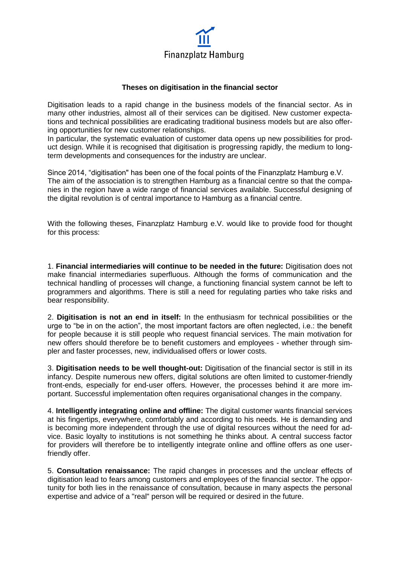

## **Theses on digitisation in the financial sector**

Digitisation leads to a rapid change in the business models of the financial sector. As in many other industries, almost all of their services can be digitised. New customer expectations and technical possibilities are eradicating traditional business models but are also offering opportunities for new customer relationships.

In particular, the systematic evaluation of customer data opens up new possibilities for product design. While it is recognised that digitisation is progressing rapidly, the medium to longterm developments and consequences for the industry are unclear.

Since 2014, "digitisation" has been one of the focal points of the Finanzplatz Hamburg e.V. The aim of the association is to strengthen Hamburg as a financial centre so that the companies in the region have a wide range of financial services available. Successful designing of the digital revolution is of central importance to Hamburg as a financial centre.

With the following theses, Finanzplatz Hamburg e.V. would like to provide food for thought for this process:

1. **Financial intermediaries will continue to be needed in the future:** Digitisation does not make financial intermediaries superfluous. Although the forms of communication and the technical handling of processes will change, a functioning financial system cannot be left to programmers and algorithms. There is still a need for regulating parties who take risks and bear responsibility.

2. **Digitisation is not an end in itself:** In the enthusiasm for technical possibilities or the urge to "be in on the action", the most important factors are often neglected, i.e.: the benefit for people because it is still people who request financial services. The main motivation for new offers should therefore be to benefit customers and employees - whether through simpler and faster processes, new, individualised offers or lower costs.

3. **Digitisation needs to be well thought-out:** Digitisation of the financial sector is still in its infancy. Despite numerous new offers, digital solutions are often limited to customer-friendly front-ends, especially for end-user offers. However, the processes behind it are more important. Successful implementation often requires organisational changes in the company.

4. **Intelligently integrating online and offline:** The digital customer wants financial services at his fingertips, everywhere, comfortably and according to his needs. He is demanding and is becoming more independent through the use of digital resources without the need for advice. Basic loyalty to institutions is not something he thinks about. A central success factor for providers will therefore be to intelligently integrate online and offline offers as one userfriendly offer.

5. **Consultation renaissance:** The rapid changes in processes and the unclear effects of digitisation lead to fears among customers and employees of the financial sector. The opportunity for both lies in the renaissance of consultation, because in many aspects the personal expertise and advice of a "real" person will be required or desired in the future.